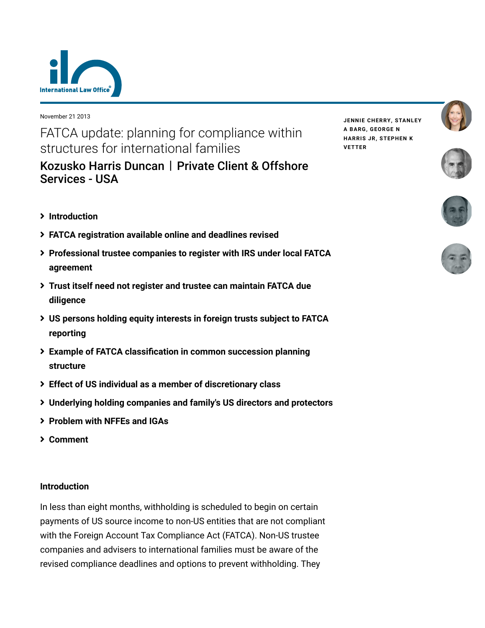

November 21 2013

FATCA update: planning for compliance within structures for international families

[Kozusko Harris Duncan](https://www.lexology.com/contributors/23364) | Private Client & Offshore Services - USA

- <span id="page-0-0"></span>**[Introduction](#page-0-0)**
- **[FATCA registration available online and deadlines revised](#page-1-0)**
- **[Professional trustee companies to register with IRS under local FATCA](#page-1-1) agreement**
- **[Trust itself need not register and trustee can maintain FATCA due](#page-3-0) diligence**
- **[US persons holding equity interests in foreign trusts subject to FATCA](#page-4-0) reporting**
- **[Example of FATCA classification in common succession planning](#page-5-0) structure**
- **[Effect of US individual as a member of discretionary class](#page-6-0)**
- **[Underlying holding companies and family's US directors and protectors](#page-8-0)**
- **[Problem with NFFEs and IGAs](#page-9-0)**
- **[Comment](#page-11-0)**

### **Introduction**

In less than eight months, withholding is scheduled to begin on certain payments of US source income to non-US entities that are not compliant with the Foreign Account Tax Compliance Act (FATCA). Non-US trustee companies and advisers to international families must be aware of the revised compliance deadlines and options to prevent withholding. They

**JENNIE [CHERRY,](https://www.lexology.com/23364/author/Jennie_Cherry/) [STANLEY](https://www.lexology.com/23364/author/Stanley_A_Barg/) A BARG, [GEORGE](https://www.lexology.com/23364/author/George_N_Harris_Jr/) N HARRIS JR, [STEPHEN](https://www.lexology.com/23364/author/Stephen_K_Vetter/) K VETTER**





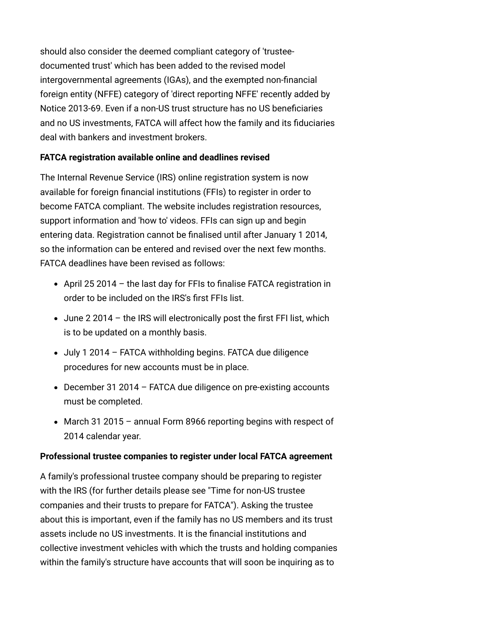should also consider the deemed compliant category of 'trusteedocumented trust' which has been added to the revised model intergovernmental agreements (IGAs), and the exempted non-financial foreign entity (NFFE) category of 'direct reporting NFFE' recently added by Notice 2013-69. Even if a non-US trust structure has no US beneficiaries and no US investments, FATCA will affect how the family and its fiduciaries deal with bankers and investment brokers.

### <span id="page-1-0"></span>**FATCA registration available online and deadlines revised**

The [Internal Revenue Service \(IRS\) online registration system](http://www.irs.gov/Businesses/Corporations/FATCA-Registration) is now available for foreign financial institutions (FFIs) to register in order to become FATCA compliant. The website includes registration resources, support information and 'how to' videos. FFIs can sign up and begin entering data. Registration cannot be finalised until after January 1 2014, so the information can be entered and revised over the next few months. FATCA deadlines have been revised as follows:

- April 25 2014 the last day for FFIs to finalise FATCA registration in order to be included on the IRS's first FFIs list.
- June 2 2014 the IRS will electronically post the first FFI list, which is to be updated on a monthly basis.
- July 1 2014 FATCA withholding begins. FATCA due diligence procedures for new accounts must be in place.
- December 31 2014 FATCA due diligence on pre-existing accounts must be completed.
- March 31 2015 annual Form 8966 reporting begins with respect of 2014 calendar year.

## <span id="page-1-1"></span>**Professional trustee companies to register under local FATCA agreement**

A family's professional trustee company should be preparing to register [with the IRS \(for further details please see "Time for non-US trustee](http://www.internationallawoffice.com/newsletters/Detail.aspx?g=e197afb4-94b5-46eb-a5e9-16008a56c467) companies and their trusts to prepare for FATCA"). Asking the trustee about this is important, even if the family has no US members and its trust assets include no US investments. It is the financial institutions and collective investment vehicles with which the trusts and holding companies within the family's structure have accounts that will soon be inquiring as to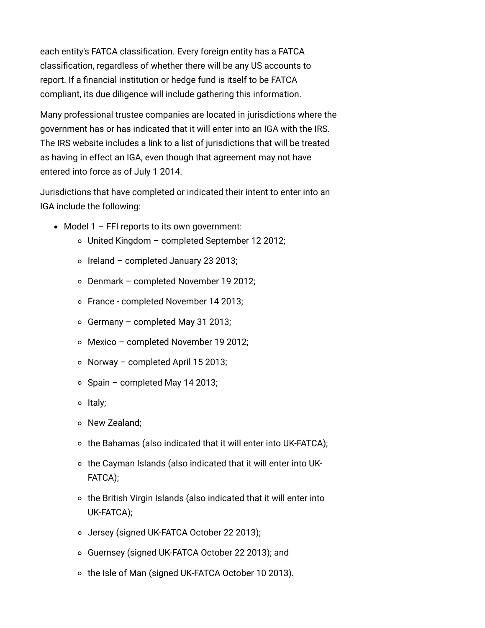each entity's FATCA classification. Every foreign entity has a FATCA classification, regardless of whether there will be any US accounts to report. If a financial institution or hedge fund is itself to be FATCA compliant, its due diligence will include gathering this information.

Many professional trustee companies are located in jurisdictions where the government has or has indicated that it will enter into an IGA with the IRS. The IRS website includes a link to a list of jurisdictions that will be treated as having in effect an IGA, even though that agreement may not have entered into force as of July 1 2014.

Jurisdictions that have completed or indicated their intent to enter into an IGA include the following:

- $\bullet$  Model 1 FFI reports to its own government:
	- United Kingdom completed September 12 2012;
	- $\circ$  Ireland completed January 23 2013;
	- Denmark completed November 19 2012;
	- France completed November 14 2013;
	- $\circ$  Germany completed May 31 2013;
	- Mexico completed November 19 2012;
	- $\circ$  Norway completed April 15 2013;
	- $\circ$  Spain completed May 14 2013;
	- o Italy;
	- o New Zealand:
	- $\circ$  the Bahamas (also indicated that it will enter into UK-FATCA);
	- the Cayman Islands (also indicated that it will enter into UK-FATCA);
	- $\circ$  the British Virgin Islands (also indicated that it will enter into UK-FATCA);
	- Jersey (signed UK-FATCA October 22 2013);
	- Guernsey (signed UK-FATCA October 22 2013); and
	- o the Isle of Man (signed UK-FATCA October 10 2013).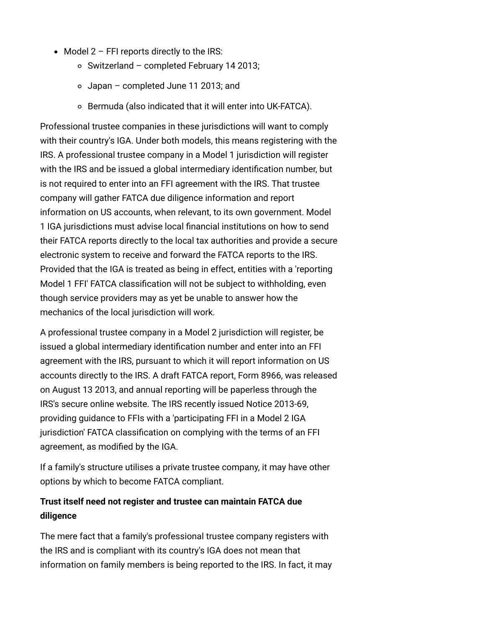- $\bullet$  Model 2 FFI reports directly to the IRS:
	- $\circ$  Switzerland completed February 14 2013;
	- Japan completed June 11 2013; and
	- Bermuda (also indicated that it will enter into UK-FATCA).

Professional trustee companies in these jurisdictions will want to comply with their country's IGA. Under both models, this means registering with the IRS. A professional trustee company in a Model 1 jurisdiction will register with the IRS and be issued a global intermediary identification number, but is not required to enter into an FFI agreement with the IRS. That trustee company will gather FATCA due diligence information and report information on US accounts, when relevant, to its own government. Model 1 IGA jurisdictions must advise local financial institutions on how to send their FATCA reports directly to the local tax authorities and provide a secure electronic system to receive and forward the FATCA reports to the IRS. Provided that the IGA is treated as being in effect, entities with a 'reporting Model 1 FFI' FATCA classification will not be subject to withholding, even though service providers may as yet be unable to answer how the mechanics of the local jurisdiction will work.

A professional trustee company in a Model 2 jurisdiction will register, be issued a global intermediary identification number and enter into an FFI agreement with the IRS, pursuant to which it will report information on US accounts directly to the IRS. A draft FATCA report, Form 8966, was released on August 13 2013, and annual reporting will be paperless through the IRS's secure online website. The IRS recently issued Notice 2013-69, providing guidance to FFIs with a 'participating FFI in a Model 2 IGA jurisdiction' FATCA classification on complying with the terms of an FFI agreement, as modified by the IGA.

If a family's structure utilises a private trustee company, it may have other options by which to become FATCA compliant.

## <span id="page-3-0"></span>**Trust itself need not register and trustee can maintain FATCA due diligence**

The mere fact that a family's professional trustee company registers with the IRS and is compliant with its country's IGA does not mean that information on family members is being reported to the IRS. In fact, it may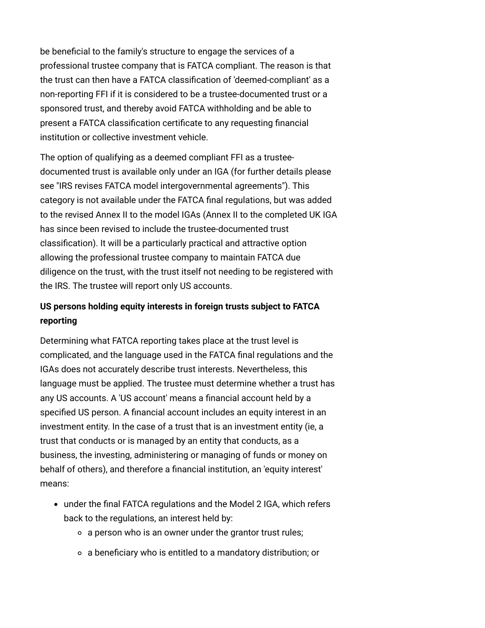be beneficial to the family's structure to engage the services of a professional trustee company that is FATCA compliant. The reason is that the trust can then have a FATCA classification of 'deemed-compliant' as a non-reporting FFI if it is considered to be a trustee-documented trust or a sponsored trust, and thereby avoid FATCA withholding and be able to present a FATCA classification certificate to any requesting financial institution or collective investment vehicle.

The option of qualifying as a deemed compliant FFI as a trusteedocumented trust is available only under an IGA (for further details please see ["IRS revises FATCA model intergovernmental agreements](http://www.internationallawoffice.com/newsletters/Detail.aspx?g=14c6cd0d-fd4c-49ac-9656-7372521b2868)"). This category is not available under the FATCA final regulations, but was added to the revised Annex II to the model IGAs (Annex II to the completed UK IGA has since been revised to include the trustee-documented trust classification). It will be a particularly practical and attractive option allowing the professional trustee company to maintain FATCA due diligence on the trust, with the trust itself not needing to be registered with the IRS. The trustee will report only US accounts.

## <span id="page-4-0"></span>**US persons holding equity interests in foreign trusts subject to FATCA reporting**

Determining what FATCA reporting takes place at the trust level is complicated, and the language used in the FATCA final regulations and the IGAs does not accurately describe trust interests. Nevertheless, this language must be applied. The trustee must determine whether a trust has any US accounts. A 'US account' means a financial account held by a specified US person. A financial account includes an equity interest in an investment entity. In the case of a trust that is an investment entity (ie, a trust that conducts or is managed by an entity that conducts, as a business, the investing, administering or managing of funds or money on behalf of others), and therefore a financial institution, an 'equity interest' means:

- under the final FATCA regulations and the Model 2 IGA, which refers back to the regulations, an interest held by:
	- a person who is an owner under the grantor trust rules;
	- a beneficiary who is entitled to a mandatory distribution; or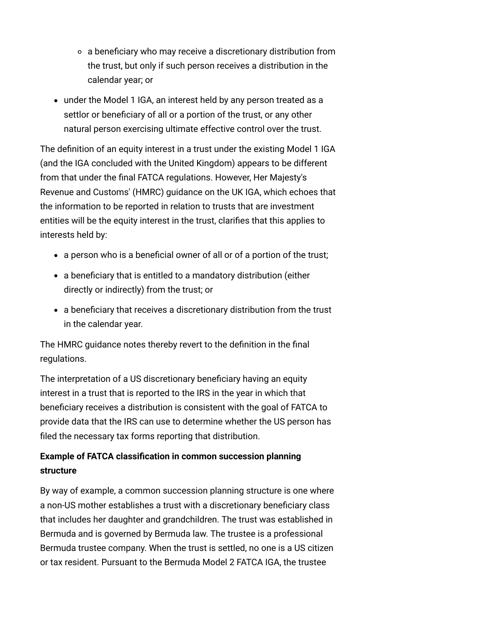- a beneficiary who may receive a discretionary distribution from the trust, but only if such person receives a distribution in the calendar year; or
- under the Model 1 IGA, an interest held by any person treated as a settlor or beneficiary of all or a portion of the trust, or any other natural person exercising ultimate effective control over the trust.

The definition of an equity interest in a trust under the existing Model 1 IGA (and the IGA concluded with the United Kingdom) appears to be different from that under the final FATCA regulations. However, Her Majesty's Revenue and Customs' (HMRC) guidance on the UK IGA, which echoes that the information to be reported in relation to trusts that are investment entities will be the equity interest in the trust, clarifies that this applies to interests held by:

- a person who is a beneficial owner of all or of a portion of the trust;
- a beneficiary that is entitled to a mandatory distribution (either directly or indirectly) from the trust; or
- a beneficiary that receives a discretionary distribution from the trust in the calendar year.

The HMRC guidance notes thereby revert to the definition in the final regulations.

The interpretation of a US discretionary beneficiary having an equity interest in a trust that is reported to the IRS in the year in which that beneficiary receives a distribution is consistent with the goal of FATCA to provide data that the IRS can use to determine whether the US person has filed the necessary tax forms reporting that distribution.

# <span id="page-5-0"></span>**Example of FATCA classification in common succession planning structure**

By way of example, a common succession planning structure is one where a non-US mother establishes a trust with a discretionary beneficiary class that includes her daughter and grandchildren. The trust was established in Bermuda and is governed by Bermuda law. The trustee is a professional Bermuda trustee company. When the trust is settled, no one is a US citizen or tax resident. Pursuant to the Bermuda Model 2 FATCA IGA, the trustee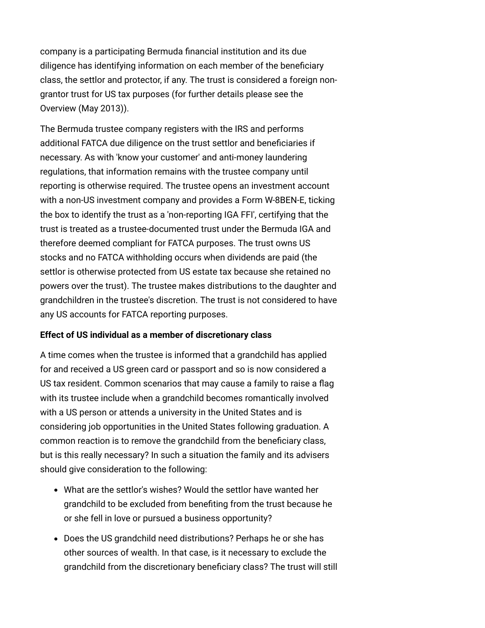company is a participating Bermuda financial institution and its due diligence has identifying information on each member of the beneficiary class, the settlor and protector, if any. The trust is considered a foreign nongrantor trust for US tax purposes (for further details please see the [Overview \(May 2013\)\)](http://www.internationallawoffice.com/newsletters/Detail.aspx?g=54b715ea-8526-402d-801a-4ed58250ed4c).

The Bermuda trustee company registers with the IRS and performs additional FATCA due diligence on the trust settlor and beneficiaries if necessary. As with 'know your customer' and anti-money laundering regulations, that information remains with the trustee company until reporting is otherwise required. The trustee opens an investment account with a non-US investment company and provides a Form W-8BEN-E, ticking the box to identify the trust as a 'non-reporting IGA FFI', certifying that the trust is treated as a trustee-documented trust under the Bermuda IGA and therefore deemed compliant for FATCA purposes. The trust owns US stocks and no FATCA withholding occurs when dividends are paid (the settlor is otherwise protected from US estate tax because she retained no powers over the trust). The trustee makes distributions to the daughter and grandchildren in the trustee's discretion. The trust is not considered to have any US accounts for FATCA reporting purposes.

### <span id="page-6-0"></span>**Effect of US individual as a member of discretionary class**

A time comes when the trustee is informed that a grandchild has applied for and received a US green card or passport and so is now considered a US tax resident. Common scenarios that may cause a family to raise a flag with its trustee include when a grandchild becomes romantically involved with a US person or attends a university in the United States and is considering job opportunities in the United States following graduation. A common reaction is to remove the grandchild from the beneficiary class, but is this really necessary? In such a situation the family and its advisers should give consideration to the following:

- What are the settlor's wishes? Would the settlor have wanted her grandchild to be excluded from benefiting from the trust because he or she fell in love or pursued a business opportunity?
- Does the US grandchild need distributions? Perhaps he or she has other sources of wealth. In that case, is it necessary to exclude the grandchild from the discretionary beneficiary class? The trust will still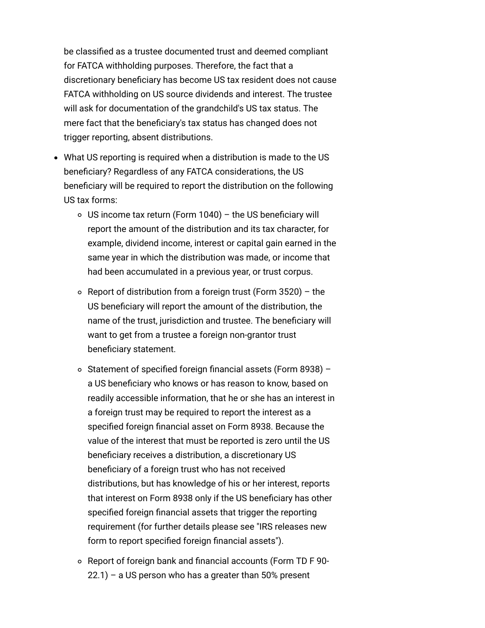be classified as a trustee documented trust and deemed compliant for FATCA withholding purposes. Therefore, the fact that a discretionary beneficiary has become US tax resident does not cause FATCA withholding on US source dividends and interest. The trustee will ask for documentation of the grandchild's US tax status. The mere fact that the beneficiary's tax status has changed does not trigger reporting, absent distributions.

- What US reporting is required when a distribution is made to the US beneficiary? Regardless of any FATCA considerations, the US beneficiary will be required to report the distribution on the following US tax forms:
	- $\circ$  US income tax return (Form 1040) the US beneficiary will report the amount of the distribution and its tax character, for example, dividend income, interest or capital gain earned in the same year in which the distribution was made, or income that had been accumulated in a previous year, or trust corpus.
	- $\circ$  Report of distribution from a foreign trust (Form 3520) the US beneficiary will report the amount of the distribution, the name of the trust, jurisdiction and trustee. The beneficiary will want to get from a trustee a foreign non-grantor trust beneficiary statement.
	- $\circ$  Statement of specified foreign financial assets (Form 8938) a US beneficiary who knows or has reason to know, based on readily accessible information, that he or she has an interest in a foreign trust may be required to report the interest as a specified foreign financial asset on Form 8938. Because the value of the interest that must be reported is zero until the US beneficiary receives a distribution, a discretionary US beneficiary of a foreign trust who has not received distributions, but has knowledge of his or her interest, reports that interest on Form 8938 only if the US beneficiary has other specified foreign financial assets that trigger the reporting [requirement \(for further details please see "IRS releases new](http://www.internationallawoffice.com/newsletters/Detail.aspx?g=1da9dd2f-7552-4f5f-a90b-ede05a3bc18a) form to report specified foreign financial assets").
	- Report of foreign bank and financial accounts (Form TD F 90-  $22.1$ ) – a US person who has a greater than 50% present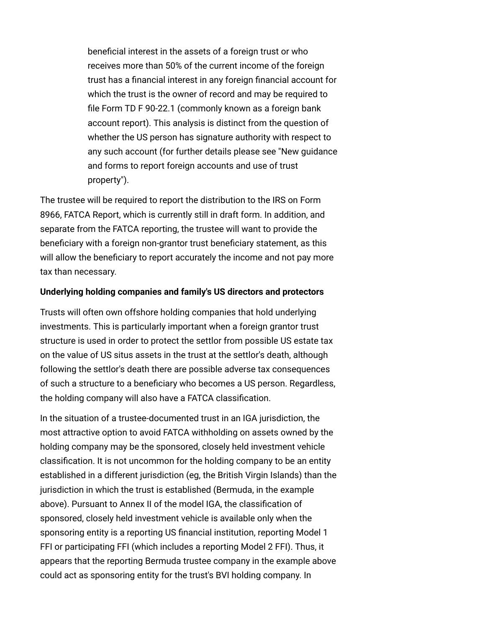beneficial interest in the assets of a foreign trust or who receives more than 50% of the current income of the foreign trust has a financial interest in any foreign financial account for which the trust is the owner of record and may be required to file Form TD F 90-22.1 (commonly known as a foreign bank account report). This analysis is distinct from the question of whether the US person has signature authority with respect to [any such account \(for further details please see "New guidance](http://www.internationallawoffice.com/newsletters/Detail.aspx?g=e363950f-fc95-449f-ba7a-7a37a20a912d) and forms to report foreign accounts and use of trust property").

The trustee will be required to report the distribution to the IRS on Form 8966, FATCA Report, which is currently still in draft form. In addition, and separate from the FATCA reporting, the trustee will want to provide the beneficiary with a foreign non-grantor trust beneficiary statement, as this will allow the beneficiary to report accurately the income and not pay more tax than necessary.

### <span id="page-8-0"></span>**Underlying holding companies and family's US directors and protectors**

Trusts will often own offshore holding companies that hold underlying investments. This is particularly important when a foreign grantor trust structure is used in order to protect the settlor from possible US estate tax on the value of US situs assets in the trust at the settlor's death, although following the settlor's death there are possible adverse tax consequences of such a structure to a beneficiary who becomes a US person. Regardless, the holding company will also have a FATCA classification.

In the situation of a trustee-documented trust in an IGA jurisdiction, the most attractive option to avoid FATCA withholding on assets owned by the holding company may be the sponsored, closely held investment vehicle classification. It is not uncommon for the holding company to be an entity established in a different jurisdiction (eg, the British Virgin Islands) than the jurisdiction in which the trust is established (Bermuda, in the example above). Pursuant to Annex II of the model IGA, the classification of sponsored, closely held investment vehicle is available only when the sponsoring entity is a reporting US financial institution, reporting Model 1 FFI or participating FFI (which includes a reporting Model 2 FFI). Thus, it appears that the reporting Bermuda trustee company in the example above could act as sponsoring entity for the trust's BVI holding company. In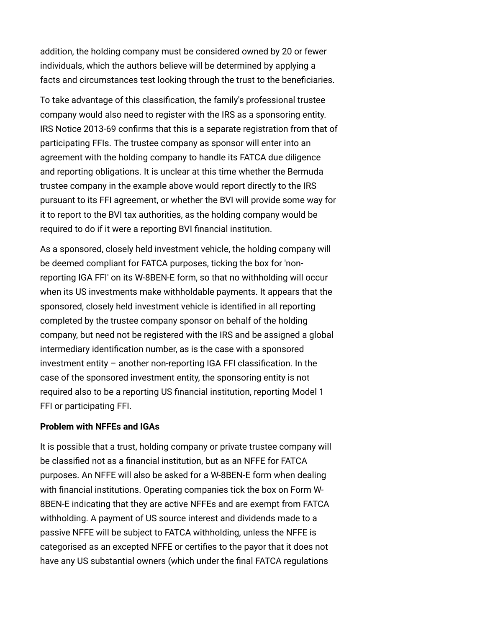addition, the holding company must be considered owned by 20 or fewer individuals, which the authors believe will be determined by applying a facts and circumstances test looking through the trust to the beneficiaries.

To take advantage of this classification, the family's professional trustee company would also need to register with the IRS as a sponsoring entity. IRS Notice 2013-69 confirms that this is a separate registration from that of participating FFIs. The trustee company as sponsor will enter into an agreement with the holding company to handle its FATCA due diligence and reporting obligations. It is unclear at this time whether the Bermuda trustee company in the example above would report directly to the IRS pursuant to its FFI agreement, or whether the BVI will provide some way for it to report to the BVI tax authorities, as the holding company would be required to do if it were a reporting BVI financial institution.

As a sponsored, closely held investment vehicle, the holding company will be deemed compliant for FATCA purposes, ticking the box for 'nonreporting IGA FFI' on its W-8BEN-E form, so that no withholding will occur when its US investments make withholdable payments. It appears that the sponsored, closely held investment vehicle is identified in all reporting completed by the trustee company sponsor on behalf of the holding company, but need not be registered with the IRS and be assigned a global intermediary identification number, as is the case with a sponsored investment entity – another non-reporting IGA FFI classification. In the case of the sponsored investment entity, the sponsoring entity is not required also to be a reporting US financial institution, reporting Model 1 FFI or participating FFI.

### <span id="page-9-0"></span>**Problem with NFFEs and IGAs**

It is possible that a trust, holding company or private trustee company will be classified not as a financial institution, but as an NFFE for FATCA purposes. An NFFE will also be asked for a W-8BEN-E form when dealing with financial institutions. Operating companies tick the box on Form W-8BEN-E indicating that they are active NFFEs and are exempt from FATCA withholding. A payment of US source interest and dividends made to a passive NFFE will be subject to FATCA withholding, unless the NFFE is categorised as an excepted NFFE or certifies to the payor that it does not have any US substantial owners (which under the final FATCA regulations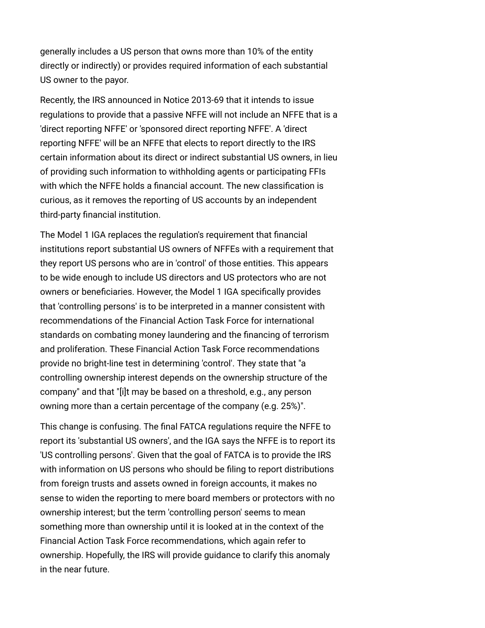generally includes a US person that owns more than 10% of the entity directly or indirectly) or provides required information of each substantial US owner to the payor.

Recently, the IRS announced in Notice 2013-69 that it intends to issue regulations to provide that a passive NFFE will not include an NFFE that is a 'direct reporting NFFE' or 'sponsored direct reporting NFFE'. A 'direct reporting NFFE' will be an NFFE that elects to report directly to the IRS certain information about its direct or indirect substantial US owners, in lieu of providing such information to withholding agents or participating FFIs with which the NFFE holds a financial account. The new classification is curious, as it removes the reporting of US accounts by an independent third-party financial institution.

The Model 1 IGA replaces the regulation's requirement that financial institutions report substantial US owners of NFFEs with a requirement that they report US persons who are in 'control' of those entities. This appears to be wide enough to include US directors and US protectors who are not owners or beneficiaries. However, the Model 1 IGA specifically provides that 'controlling persons' is to be interpreted in a manner consistent with recommendations of the Financial Action Task Force for international standards on combating money laundering and the financing of terrorism and proliferation. These Financial Action Task Force recommendations provide no bright-line test in determining 'control'. They state that "a controlling ownership interest depends on the ownership structure of the company" and that "[i]t may be based on a threshold, e.g., any person owning more than a certain percentage of the company (e.g. 25%)".

This change is confusing. The final FATCA regulations require the NFFE to report its 'substantial US owners', and the IGA says the NFFE is to report its 'US controlling persons'. Given that the goal of FATCA is to provide the IRS with information on US persons who should be filing to report distributions from foreign trusts and assets owned in foreign accounts, it makes no sense to widen the reporting to mere board members or protectors with no ownership interest; but the term 'controlling person' seems to mean something more than ownership until it is looked at in the context of the Financial Action Task Force recommendations, which again refer to ownership. Hopefully, the IRS will provide guidance to clarify this anomaly in the near future.